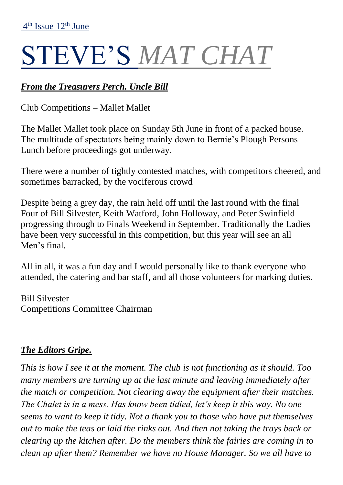# STEVE'S *MAT CHAT*

# *From the Treasurers Perch. Uncle Bill*

Club Competitions – Mallet Mallet

The Mallet Mallet took place on Sunday 5th June in front of a packed house. The multitude of spectators being mainly down to Bernie's Plough Persons Lunch before proceedings got underway.

There were a number of tightly contested matches, with competitors cheered, and sometimes barracked, by the vociferous crowd

Despite being a grey day, the rain held off until the last round with the final Four of Bill Silvester, Keith Watford, John Holloway, and Peter Swinfield progressing through to Finals Weekend in September. Traditionally the Ladies have been very successful in this competition, but this year will see an all Men's final.

All in all, it was a fun day and I would personally like to thank everyone who attended, the catering and bar staff, and all those volunteers for marking duties.

Bill Silvester Competitions Committee Chairman

# *The Editors Gripe.*

*This is how I see it at the moment. The club is not functioning as it should. Too many members are turning up at the last minute and leaving immediately after the match or competition. Not clearing away the equipment after their matches. The Chalet is in a mess. Has know been tidied, let's keep it this way. No one seems to want to keep it tidy. Not a thank you to those who have put themselves out to make the teas or laid the rinks out. And then not taking the trays back or clearing up the kitchen after. Do the members think the fairies are coming in to clean up after them? Remember we have no House Manager. So we all have to*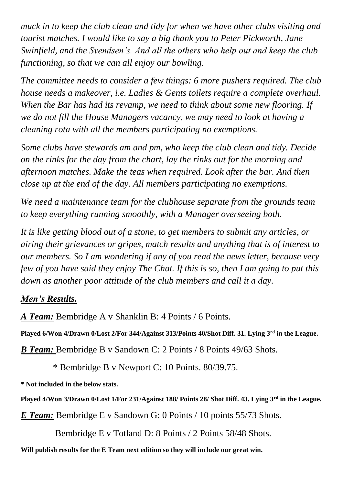*muck in to keep the club clean and tidy for when we have other clubs visiting and tourist matches. I would like to say a big thank you to Peter Pickworth, Jane Swinfield, and the Svendsen's. And all the others who help out and keep the club functioning, so that we can all enjoy our bowling.* 

*The committee needs to consider a few things: 6 more pushers required. The club house needs a makeover, i.e. Ladies & Gents toilets require a complete overhaul. When the Bar has had its revamp, we need to think about some new flooring. If we do not fill the House Managers vacancy, we may need to look at having a cleaning rota with all the members participating no exemptions.* 

*Some clubs have stewards am and pm, who keep the club clean and tidy. Decide on the rinks for the day from the chart, lay the rinks out for the morning and afternoon matches. Make the teas when required. Look after the bar. And then close up at the end of the day. All members participating no exemptions.*

*We need a maintenance team for the clubhouse separate from the grounds team to keep everything running smoothly, with a Manager overseeing both.* 

*It is like getting blood out of a stone, to get members to submit any articles, or airing their grievances or gripes, match results and anything that is of interest to our members. So I am wondering if any of you read the news letter, because very few of you have said they enjoy The Chat. If this is so, then I am going to put this down as another poor attitude of the club members and call it a day.*

# *Men's Results.*

*A Team:* Bembridge A v Shanklin B: 4 Points / 6 Points.

**Played 6/Won 4/Drawn 0/Lost 2/For 344/Against 313/Points 40/Shot Diff. 31. Lying 3rd in the League.**

*B Team:* Bembridge B v Sandown C: 2 Points / 8 Points 49/63 Shots.

\* Bembridge B v Newport C: 10 Points. 80/39.75.

**\* Not included in the below stats.**

**Played 4/Won 3/Drawn 0/Lost 1/For 231/Against 188/ Points 28/ Shot Diff. 43. Lying 3rd in the League.**

*E Team:* Bembridge E v Sandown G: 0 Points / 10 points 55/73 Shots.

Bembridge E v Totland D: 8 Points / 2 Points 58/48 Shots.

**Will publish results for the E Team next edition so they will include our great win.**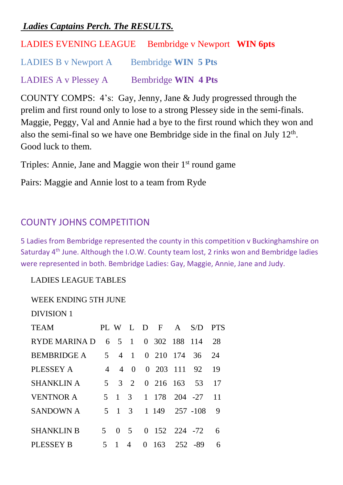#### *Ladies Captains Perch. The RESULTS.*

LADIES EVENING LEAGUE Bembridge v Newport **WIN 6pts**

LADIES B v Newport A Bembridge **WIN 5 Pts**

LADIES A v Plessey A Bembridge **WIN 4 Pts**

COUNTY COMPS: 4's: Gay, Jenny, Jane & Judy progressed through the prelim and first round only to lose to a strong Plessey side in the semi-finals. Maggie, Peggy, Val and Annie had a bye to the first round which they won and also the semi-final so we have one Bembridge side in the final on July  $12<sup>th</sup>$ . Good luck to them.

Triples: Annie, Jane and Maggie won their 1<sup>st</sup> round game

Pairs: Maggie and Annie lost to a team from Ryde

# COUNTY JOHNS COMPETITION

5 Ladies from Bembridge represented the county in this competition v Buckinghamshire on Saturday 4<sup>th</sup> June. Although the I.O.W. County team lost, 2 rinks won and Bembridge ladies were represented in both. Bembridge Ladies: Gay, Maggie, Annie, Jane and Judy.

LADIES LEAGUE TABLES

#### WEEK ENDING 5TH JUNE

| <b>DIVISION 1</b>  |                |                |              |                       |         |    |
|--------------------|----------------|----------------|--------------|-----------------------|---------|----|
| <b>TEAM</b>        |                |                |              | PLWLDFA               | S/D PTS |    |
| RYDE MARINA D      |                | 6 5            | $\mathbf{1}$ | 0 302 188 114         |         | 28 |
| <b>BEMBRIDGE A</b> | 5 <sup>5</sup> | $\overline{4}$ | $\mathbf{1}$ | 0 210 174             | 36      | 24 |
| PLESSEY A          | $\overline{4}$ | $\overline{4}$ | $\theta$     | 0 203 111 92          |         | 19 |
| <b>SHANKLIN A</b>  | 5              |                | $3\quad 2$   | $0\quad 216\quad 163$ | 53      | 17 |
| <b>VENTNOR A</b>   | 5              | $\overline{1}$ | 3            | 1 178 204 -27         |         | 11 |
| <b>SANDOWN A</b>   |                | $5 \quad 1$    | -3           | 1 149 257 -108        |         | 9  |
| <b>SHANKLIN B</b>  | 5              | $0 \quad 5$    |              | $0$ 152 224 -72       |         | 6  |
| <b>PLESSEY B</b>   | 5              |                | 4            | $0 \t163 \t252 \t-89$ |         | 6  |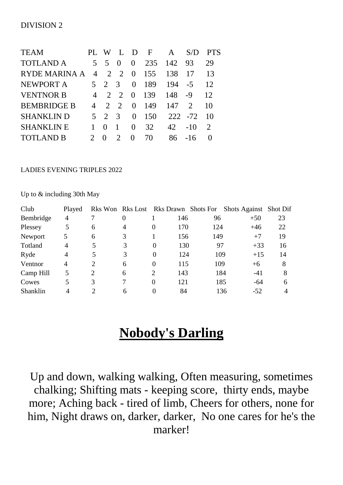| <b>TEAM</b>        | PI <sub>1</sub> | W                       | Ι.             | $\mathbf{D}$     | $\mathbf{F}$ | A   | S/D                         | <b>PTS</b> |
|--------------------|-----------------|-------------------------|----------------|------------------|--------------|-----|-----------------------------|------------|
| <b>TOTLAND A</b>   | 5 <sup>7</sup>  | $\overline{\mathbf{5}}$ | $\theta$       | $\Omega$         | 235          | 142 | 93                          | 29         |
| RYDE MARINA A      | $\overline{4}$  | 2                       | 2              | $\Omega$         | 155          | 138 |                             | 13         |
| NEWPORT A          |                 | $5 \t2 \t3$             |                | $\Omega$         | 189          | 194 | $-5$                        | 12         |
| <b>VENTNOR B</b>   | 4               | 2                       | $\overline{2}$ | $\left( \right)$ | 139          | 148 | -9                          | 12         |
| <b>BEMBRIDGE B</b> |                 | 2                       | $\mathcal{L}$  | $\theta$         | 149          | 147 | $\mathcal{D}_{\mathcal{L}}$ | 10         |
| <b>SHANKLIN D</b>  | 5 <sup>1</sup>  | 2                       | - 3            | 0                | 150          |     | 222 - 72                    | 10         |
| <b>SHANKLIN E</b>  |                 | $\mathbf{0}$            |                | 0                | 32           | 42  | $-10$                       | 2          |
| <b>TOTLAND B</b>   |                 |                         | $\mathcal{D}$  |                  | 70           | 86  | -16                         |            |

#### LADIES EVENING TRIPLES 2022

Up to & including 30th May

| Club      | Played |   |                |                |     |     | Rks Won Rks Lost Rks Drawn Shots For Shots Against Shot Dif |    |
|-----------|--------|---|----------------|----------------|-----|-----|-------------------------------------------------------------|----|
| Bembridge | 4      |   | $\overline{0}$ |                | 146 | 96  | $+50$                                                       | 23 |
| Plessey   | 5      | 6 | $\overline{4}$ | $\Omega$       | 170 | 124 | $+46$                                                       | 22 |
| Newport   | 5      | 6 | 3              |                | 156 | 149 | $+7$                                                        | 19 |
| Totland   | 4      | 5 | 3              | $\Omega$       | 130 | 97  | $+33$                                                       | 16 |
| Ryde      | 4      | 5 | 3              | $\theta$       | 124 | 109 | $+15$                                                       | 14 |
| Ventnor   | 4      | 2 | 6              | 0              | 115 | 109 | $+6$                                                        | 8  |
| Camp Hill | 5      | 2 | 6              | $\overline{2}$ | 143 | 184 | $-41$                                                       | 8  |
| Cowes     | 5      | 3 |                | 0              | 121 | 185 | -64                                                         | 6  |
| Shanklin  | 4      |   | 6              |                | 84  |     | 136<br>$-52$                                                |    |

# **Nobody's Darling**

Up and down, walking walking, Often measuring, sometimes chalking; Shifting mats - keeping score, thirty ends, maybe more; Aching back - tired of limb, Cheers for others, none for him, Night draws on, darker, darker, No one cares for he's the marker!